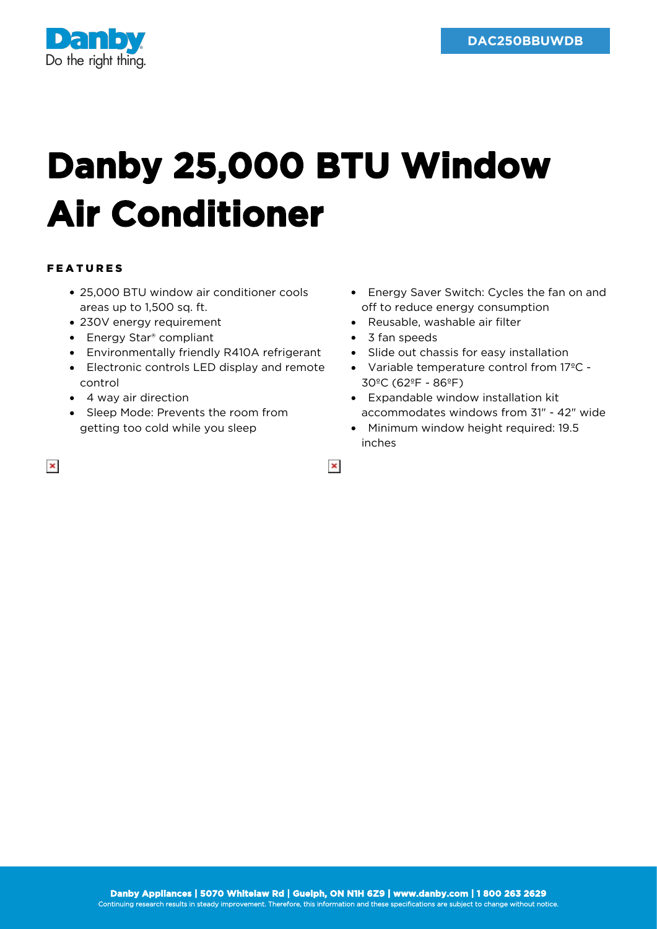

## **Danby 25,000 BTU Window Air Conditioner**

## FEATURES

- 25,000 BTU window air conditioner cools areas up to 1,500 sq. ft.
- 230V energy requirement
- Energy Star<sup>®</sup> compliant
- Environmentally friendly R410A refrigerant
- Electronic controls LED display and remote control
- 4 way air direction
- Sleep Mode: Prevents the room from getting too cold while you sleep
- Energy Saver Switch: Cycles the fan on and off to reduce energy consumption
- Reusable, washable air filter
- 3 fan speeds

 $\pmb{\times}$ 

- Slide out chassis for easy installation
- Variable temperature control from 17ºC 30ºC (62ºF - 86ºF)
- Expandable window installation kit accommodates windows from 31" - 42" wide
- Minimum window height required: 19.5 inches

 $\pmb{\times}$